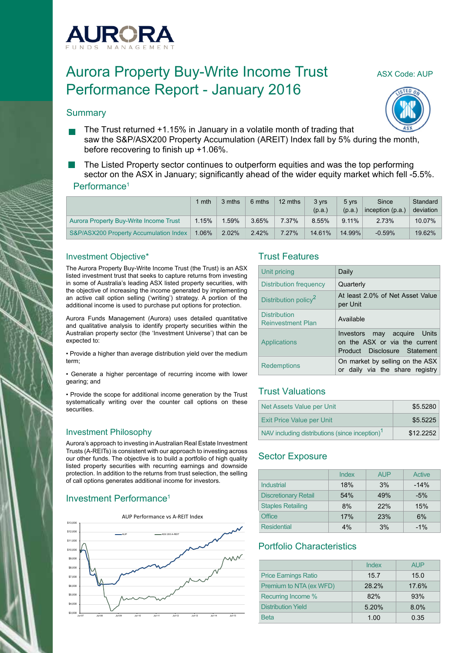

# Aurora Property Buy-Write Income Trust ASX Code: AUP Performance Report - January 2016



#### **Summary**

The Trust returned +1.15% in January in a volatile month of trading that saw the S&P/ASX200 Property Accumulation (AREIT) Index fall by 5% during the month, before recovering to finish up +1.06%.

The Listed Property sector continues to outperform equities and was the top performing sector on the ASX in January; significantly ahead of the wider equity market which fell -5.5%.

#### Performance<sup>1</sup>

|                                        | mth      | 3 mths | 6 mths | 12 mths  | 3 vrs<br>(p.a.) | 5 vrs<br>(p.a., | Since<br>inception $(p.a.)$ | Standard<br>deviation |
|----------------------------------------|----------|--------|--------|----------|-----------------|-----------------|-----------------------------|-----------------------|
| Aurora Property Buy-Write Income Trust | 1.15%    | .59%   | 3.65%  | 7.37%    | 8.55%           | $9.11\%$        | 2.73%                       | 10.07%                |
| S&P/ASX200 Property Accumulation Index | $1.06\%$ | 2.02%  | 2.42%  | $7.27\%$ | 14.61%          | 14.99%          | $-0.59%$                    | 19.62%                |

#### Investment Objective\*

The Aurora Property Buy-Write Income Trust (the Trust) is an ASX listed investment trust that seeks to capture returns from investing in some of Australia's leading ASX listed property securities, with the objective of increasing the income generated by implementing an active call option selling ('writing') strategy. A portion of the additional income is used to purchase put options for protection.

Aurora Funds Management (Aurora) uses detailed quantitative and qualitative analysis to identify property securities within the Australian property sector (the 'Investment Universe') that can be expected to:

• Provide a higher than average distribution yield over the medium term;

• Generate a higher percentage of recurring income with lower gearing; and

• Provide the scope for additional income generation by the Trust systematically writing over the counter call options on these **securities** 

### Investment Philosophy

Aurora's approach to investing in Australian Real Estate Investment Trusts (A-REITs) is consistent with our approach to investing across our other funds. The objective is to build a portfolio of high quality listed property securities with recurring earnings and downside protection. In addition to the returns from trust selection, the selling of call options generates additional income for investors.

## Investment Performance1



### Trust Features

| Unit pricing                                    | Daily                                                                                        |
|-------------------------------------------------|----------------------------------------------------------------------------------------------|
| Distribution frequency                          | Quarterly                                                                                    |
| Distribution policy <sup>2</sup>                | At least 2.0% of Net Asset Value<br>per Unit                                                 |
| <b>Distribution</b><br><b>Reinvestment Plan</b> | Available                                                                                    |
| Applications                                    | Investors may acquire Units<br>on the ASX or via the current<br>Product Disclosure Statement |
| <b>Redemptions</b>                              | On market by selling on the ASX<br>or daily via the share registry                           |

## Trust Valuations

| Net Assets Value per Unit                                  | \$5.5280  |
|------------------------------------------------------------|-----------|
| <b>Exit Price Value per Unit</b>                           | \$5.5225  |
| NAV including distributions (since inception) <sup>1</sup> | \$12,2252 |

## Sector Exposure

|                             | Index | <b>AUP</b> | Active |
|-----------------------------|-------|------------|--------|
| Industrial                  | 18%   | 3%         | $-14%$ |
| <b>Discretionary Retail</b> | 54%   | 49%        | $-5%$  |
| <b>Staples Retailing</b>    | 8%    | 22%        | 15%    |
| Office                      | 17%   | 23%        | 6%     |
| <b>Residential</b>          | 4%    | 3%         | $-1%$  |

## Portfolio Characteristics

|                             | Index | <b>AUP</b> |
|-----------------------------|-------|------------|
| <b>Price Earnings Ratio</b> | 15.7  | 15.0       |
| Premium to NTA (ex WFD)     | 28.2% | 17.6%      |
| Recurring Income %          | 82%   | 93%        |
| Distribution Yield          | 5.20% | 8.0%       |
| <b>Beta</b>                 | 1.00  | 0.35       |